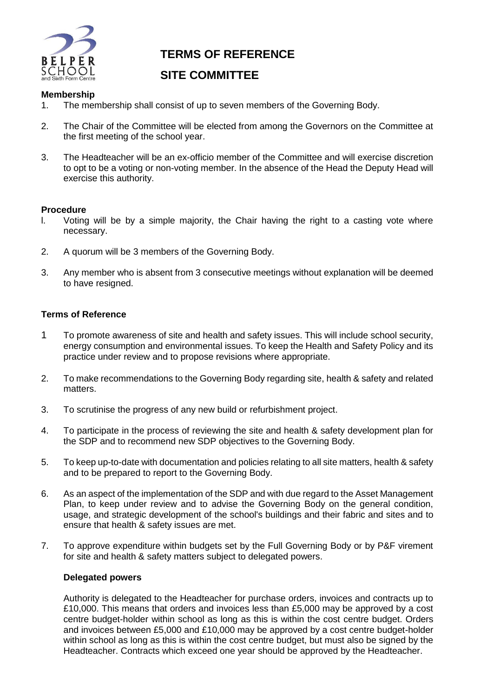

# **TERMS OF REFERENCE**

# **SITE COMMITTEE**

### **Membership**

- 1. The membership shall consist of up to seven members of the Governing Body.
- 2. The Chair of the Committee will be elected from among the Governors on the Committee at the first meeting of the school year.
- 3. The Headteacher will be an ex-officio member of the Committee and will exercise discretion to opt to be a voting or non-voting member. In the absence of the Head the Deputy Head will exercise this authority.

#### **Procedure**

- l. Voting will be by a simple majority, the Chair having the right to a casting vote where necessary.
- 2. A quorum will be 3 members of the Governing Body.
- 3. Any member who is absent from 3 consecutive meetings without explanation will be deemed to have resigned.

#### **Terms of Reference**

- 1 To promote awareness of site and health and safety issues. This will include school security, energy consumption and environmental issues. To keep the Health and Safety Policy and its practice under review and to propose revisions where appropriate.
- 2. To make recommendations to the Governing Body regarding site, health & safety and related matters.
- 3. To scrutinise the progress of any new build or refurbishment project.
- 4. To participate in the process of reviewing the site and health & safety development plan for the SDP and to recommend new SDP objectives to the Governing Body.
- 5. To keep up-to-date with documentation and policies relating to all site matters, health & safety and to be prepared to report to the Governing Body.
- 6. As an aspect of the implementation of the SDP and with due regard to the Asset Management Plan, to keep under review and to advise the Governing Body on the general condition, usage, and strategic development of the school's buildings and their fabric and sites and to ensure that health & safety issues are met.
- 7. To approve expenditure within budgets set by the Full Governing Body or by P&F virement for site and health & safety matters subject to delegated powers.

#### **Delegated powers**

Authority is delegated to the Headteacher for purchase orders, invoices and contracts up to £10,000. This means that orders and invoices less than £5,000 may be approved by a cost centre budget-holder within school as long as this is within the cost centre budget. Orders and invoices between £5,000 and £10,000 may be approved by a cost centre budget-holder within school as long as this is within the cost centre budget, but must also be signed by the Headteacher. Contracts which exceed one year should be approved by the Headteacher.